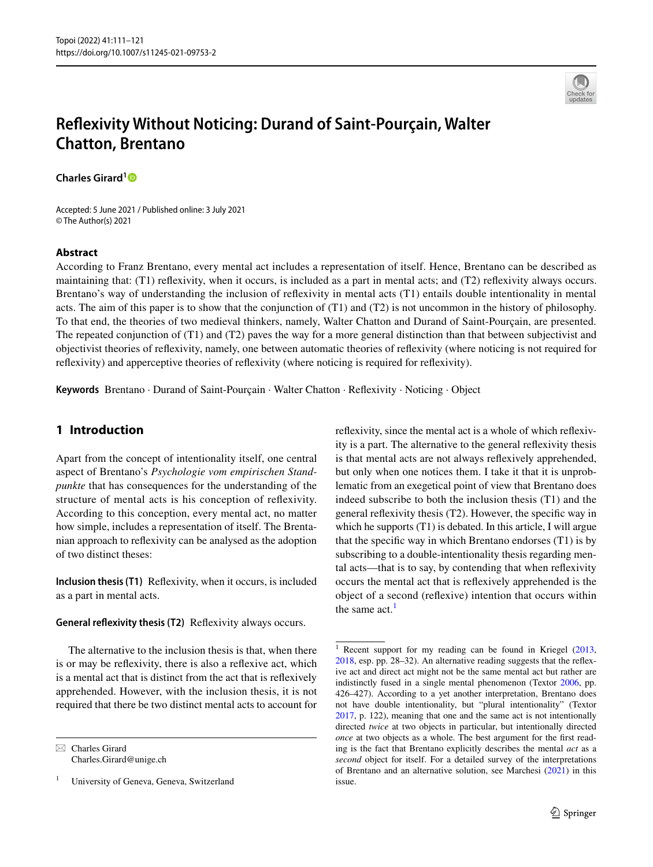

# **Refexivity Without Noticing: Durand of Saint‑Pourçain, Walter Chatton, Brentano**

**Charles Girard[1](http://orcid.org/0000-0002-2138-8652)**

Accepted: 5 June 2021 / Published online: 3 July 2021 © The Author(s) 2021

#### **Abstract**

According to Franz Brentano, every mental act includes a representation of itself. Hence, Brentano can be described as maintaining that: (T1) refexivity, when it occurs, is included as a part in mental acts; and (T2) refexivity always occurs. Brentano's way of understanding the inclusion of refexivity in mental acts (T1) entails double intentionality in mental acts. The aim of this paper is to show that the conjunction of (T1) and (T2) is not uncommon in the history of philosophy. To that end, the theories of two medieval thinkers, namely, Walter Chatton and Durand of Saint-Pourçain, are presented. The repeated conjunction of (T1) and (T2) paves the way for a more general distinction than that between subjectivist and objectivist theories of refexivity, namely, one between automatic theories of refexivity (where noticing is not required for refexivity) and apperceptive theories of refexivity (where noticing is required for refexivity).

**Keywords** Brentano · Durand of Saint-Pourçain · Walter Chatton · Refexivity · Noticing · Object

## **1 Introduction**

Apart from the concept of intentionality itself, one central aspect of Brentano's *Psychologie vom empirischen Standpunkte* that has consequences for the understanding of the structure of mental acts is his conception of refexivity. According to this conception, every mental act, no matter how simple, includes a representation of itself. The Brentanian approach to refexivity can be analysed as the adoption of two distinct theses:

**Inclusion thesis (T1)** Reflexivity, when it occurs, is included as a part in mental acts.

**General refexivity thesis (T2)** Refexivity always occurs.

The alternative to the inclusion thesis is that, when there is or may be refexivity, there is also a refexive act, which is a mental act that is distinct from the act that is refexively apprehended. However, with the inclusion thesis, it is not required that there be two distinct mental acts to account for

 $\boxtimes$  Charles Girard Charles.Girard@unige.ch

<sup>1</sup> University of Geneva, Geneva, Switzerland

refexivity, since the mental act is a whole of which refexivity is a part. The alternative to the general refexivity thesis is that mental acts are not always refexively apprehended, but only when one notices them. I take it that it is unproblematic from an exegetical point of view that Brentano does indeed subscribe to both the inclusion thesis (T1) and the general refexivity thesis (T2). However, the specifc way in which he supports (T1) is debated. In this article, I will argue that the specific way in which Brentano endorses  $(T1)$  is by subscribing to a double-intentionality thesis regarding mental acts—that is to say, by contending that when refexivity occurs the mental act that is refexively apprehended is the object of a second (refexive) intention that occurs within the same  $act.<sup>1</sup>$  $act.<sup>1</sup>$  $act.<sup>1</sup>$ 

<span id="page-0-0"></span><sup>&</sup>lt;sup>1</sup> Recent support for my reading can be found in Kriegel [\(2013](#page-9-0), [2018](#page-10-0), esp. pp. 28–32). An alternative reading suggests that the refexive act and direct act might not be the same mental act but rather are indistinctly fused in a single mental phenomenon (Textor [2006](#page-10-1), pp. 426–427). According to a yet another interpretation, Brentano does not have double intentionality, but "plural intentionality" (Textor [2017](#page-10-1), p. 122), meaning that one and the same act is not intentionally directed *twice* at two objects in particular, but intentionally directed *once* at two objects as a whole. The best argument for the first reading is the fact that Brentano explicitly describes the mental *act* as a *second* object for itself. For a detailed survey of the interpretations of Brentano and an alternative solution, see Marchesi [\(2021](#page-10-2)) in this issue.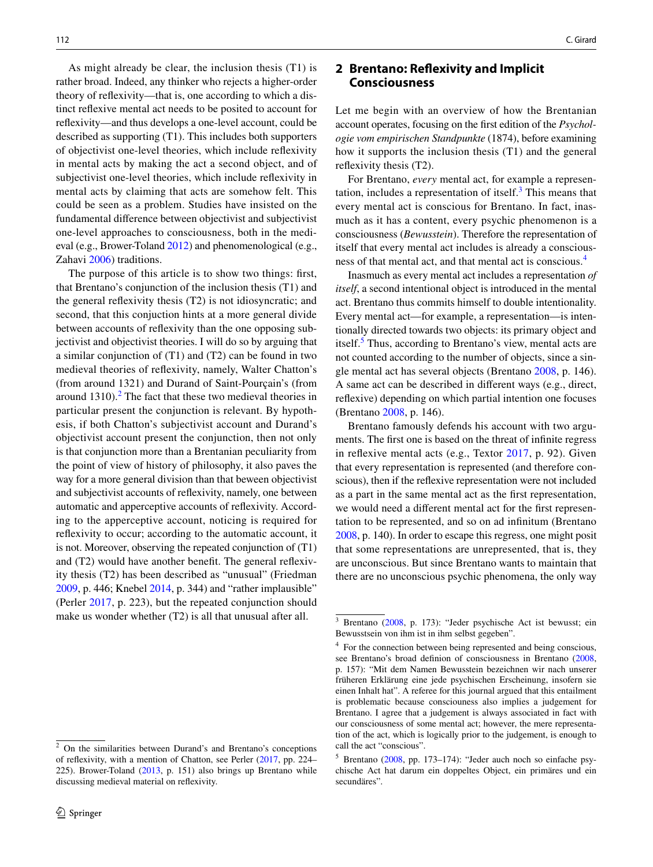As might already be clear, the inclusion thesis (T1) is rather broad. Indeed, any thinker who rejects a higher-order theory of refexivity—that is, one according to which a distinct refexive mental act needs to be posited to account for refexivity—and thus develops a one-level account, could be described as supporting (T1). This includes both supporters of objectivist one-level theories, which include refexivity in mental acts by making the act a second object, and of subjectivist one-level theories, which include refexivity in mental acts by claiming that acts are somehow felt. This could be seen as a problem. Studies have insisted on the fundamental diference between objectivist and subjectivist one-level approaches to consciousness, both in the medieval (e.g., Brower-Toland [2012](#page-9-1)) and phenomenological (e.g., Zahavi [2006](#page-10-3)) traditions.

The purpose of this article is to show two things: frst, that Brentano's conjunction of the inclusion thesis (T1) and the general refexivity thesis (T2) is not idiosyncratic; and second, that this conjuction hints at a more general divide between accounts of refexivity than the one opposing subjectivist and objectivist theories. I will do so by arguing that a similar conjunction of (T1) and (T2) can be found in two medieval theories of refexivity, namely, Walter Chatton's (from around 1321) and Durand of Saint-Pourçain's (from around  $1310$ ).<sup>[2](#page-1-0)</sup> The fact that these two medieval theories in particular present the conjunction is relevant. By hypothesis, if both Chatton's subjectivist account and Durand's objectivist account present the conjunction, then not only is that conjunction more than a Brentanian peculiarity from the point of view of history of philosophy, it also paves the way for a more general division than that beween objectivist and subjectivist accounts of refexivity, namely, one between automatic and apperceptive accounts of refexivity. According to the apperceptive account, noticing is required for refexivity to occur; according to the automatic account, it is not. Moreover, observing the repeated conjunction of (T1) and (T2) would have another beneft. The general refexivity thesis (T2) has been described as "unusual" (Friedman [2009,](#page-9-2) p. 446; Knebel [2014](#page-9-3), p. 344) and "rather implausible" (Perler [2017,](#page-10-4) p. 223), but the repeated conjunction should make us wonder whether (T2) is all that unusual after all.

#### **2 Brentano: Refexivity and Implicit Consciousness**

Let me begin with an overview of how the Brentanian account operates, focusing on the frst edition of the *Psychologie vom empirischen Standpunkte* (1874), before examining how it supports the inclusion thesis (T1) and the general refexivity thesis (T2).

For Brentano, *every* mental act, for example a representation, includes a representation of itself. $3$  This means that every mental act is conscious for Brentano. In fact, inasmuch as it has a content, every psychic phenomenon is a consciousness (*Bewusstein*). Therefore the representation of itself that every mental act includes is already a consciousness of that mental act, and that mental act is conscious.[4](#page-1-2)

Inasmuch as every mental act includes a representation *of itself*, a second intentional object is introduced in the mental act. Brentano thus commits himself to double intentionality. Every mental act—for example, a representation—is intentionally directed towards two objects: its primary object and itself.<sup>[5](#page-1-3)</sup> Thus, according to Brentano's view, mental acts are not counted according to the number of objects, since a single mental act has several objects (Brentano [2008,](#page-9-4) p. 146). A same act can be described in diferent ways (e.g., direct, refexive) depending on which partial intention one focuses (Brentano [2008](#page-9-4), p. 146).

Brentano famously defends his account with two arguments. The frst one is based on the threat of infnite regress in refexive mental acts (e.g., Textor [2017,](#page-10-1) p. 92). Given that every representation is represented (and therefore conscious), then if the refexive representation were not included as a part in the same mental act as the frst representation, we would need a diferent mental act for the frst representation to be represented, and so on ad infnitum (Brentano [2008,](#page-9-4) p. 140). In order to escape this regress, one might posit that some representations are unrepresented, that is, they are unconscious. But since Brentano wants to maintain that there are no unconscious psychic phenomena, the only way

<span id="page-1-0"></span><sup>2</sup> On the similarities between Durand's and Brentano's conceptions of refexivity, with a mention of Chatton, see Perler ([2017,](#page-10-4) pp. 224– 225). Brower-Toland [\(2013](#page-9-5), p. 151) also brings up Brentano while discussing medieval material on refexivity.

<span id="page-1-1"></span><sup>3</sup> Brentano [\(2008](#page-9-4), p. 173): "Jeder psychische Act ist bewusst; ein Bewusstsein von ihm ist in ihm selbst gegeben".

<span id="page-1-2"></span><sup>4</sup> For the connection between being represented and being conscious, see Brentano's broad defnion of consciousness in Brentano [\(2008](#page-9-4), p. 157): "Mit dem Namen Bewusstein bezeichnen wir nach unserer früheren Erklärung eine jede psychischen Erscheinung, insofern sie einen Inhalt hat". A referee for this journal argued that this entailment is problematic because consciouness also implies a judgement for Brentano. I agree that a judgement is always associated in fact with our consciousness of some mental act; however, the mere representation of the act, which is logically prior to the judgement, is enough to call the act "conscious".

<span id="page-1-3"></span><sup>5</sup> Brentano ([2008,](#page-9-4) pp. 173–174): "Jeder auch noch so einfache psychische Act hat darum ein doppeltes Object, ein primäres und ein secundäres".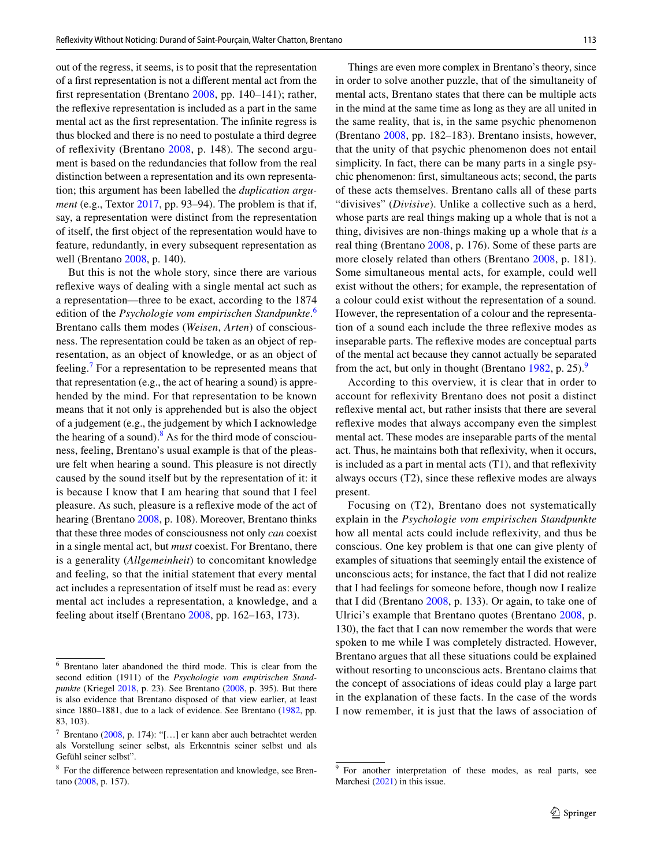out of the regress, it seems, is to posit that the representation of a frst representation is not a diferent mental act from the frst representation (Brentano [2008](#page-9-4), pp. 140–141); rather, the refexive representation is included as a part in the same mental act as the frst representation. The infnite regress is thus blocked and there is no need to postulate a third degree of refexivity (Brentano [2008](#page-9-4), p. 148). The second argument is based on the redundancies that follow from the real distinction between a representation and its own representation; this argument has been labelled the *duplication argument* (e.g., Textor [2017](#page-10-1), pp. 93–94). The problem is that if, say, a representation were distinct from the representation of itself, the frst object of the representation would have to feature, redundantly, in every subsequent representation as well (Brentano [2008,](#page-9-4) p. 140).

But this is not the whole story, since there are various refexive ways of dealing with a single mental act such as a representation—three to be exact, according to the 1874 edition of the *Psychologie vom empirischen Standpunkte*. [6](#page-2-0) Brentano calls them modes (*Weisen*, *Arten*) of consciousness. The representation could be taken as an object of representation, as an object of knowledge, or as an object of feeling.<sup>[7](#page-2-1)</sup> For a representation to be represented means that that representation (e.g., the act of hearing a sound) is apprehended by the mind. For that representation to be known means that it not only is apprehended but is also the object of a judgement (e.g., the judgement by which I acknowledge the hearing of a sound). $8$  As for the third mode of consciouness, feeling, Brentano's usual example is that of the pleasure felt when hearing a sound. This pleasure is not directly caused by the sound itself but by the representation of it: it is because I know that I am hearing that sound that I feel pleasure. As such, pleasure is a refexive mode of the act of hearing (Brentano [2008](#page-9-4), p. 108). Moreover, Brentano thinks that these three modes of consciousness not only *can* coexist in a single mental act, but *must* coexist. For Brentano, there is a generality (*Allgemeinheit*) to concomitant knowledge and feeling, so that the initial statement that every mental act includes a representation of itself must be read as: every mental act includes a representation, a knowledge, and a feeling about itself (Brentano [2008,](#page-9-4) pp. 162–163, 173).

Things are even more complex in Brentano's theory, since in order to solve another puzzle, that of the simultaneity of mental acts, Brentano states that there can be multiple acts in the mind at the same time as long as they are all united in the same reality, that is, in the same psychic phenomenon (Brentano [2008](#page-9-4), pp. 182–183). Brentano insists, however, that the unity of that psychic phenomenon does not entail simplicity. In fact, there can be many parts in a single psychic phenomenon: frst, simultaneous acts; second, the parts of these acts themselves. Brentano calls all of these parts "divisives" (*Divisive*). Unlike a collective such as a herd, whose parts are real things making up a whole that is not a thing, divisives are non-things making up a whole that *is* a real thing (Brentano [2008,](#page-9-4) p. 176). Some of these parts are more closely related than others (Brentano [2008,](#page-9-4) p. 181). Some simultaneous mental acts, for example, could well exist without the others; for example, the representation of a colour could exist without the representation of a sound. However, the representation of a colour and the representation of a sound each include the three refexive modes as inseparable parts. The refexive modes are conceptual parts of the mental act because they cannot actually be separated from the act, but only in thought (Brentano  $1982$  $1982$  $1982$ , p. 25).<sup>9</sup>

According to this overview, it is clear that in order to account for refexivity Brentano does not posit a distinct refexive mental act, but rather insists that there are several refexive modes that always accompany even the simplest mental act. These modes are inseparable parts of the mental act. Thus, he maintains both that refexivity, when it occurs, is included as a part in mental acts  $(T1)$ , and that reflexivity always occurs (T2), since these refexive modes are always present.

Focusing on (T2), Brentano does not systematically explain in the *Psychologie vom empirischen Standpunkte* how all mental acts could include refexivity, and thus be conscious. One key problem is that one can give plenty of examples of situations that seemingly entail the existence of unconscious acts; for instance, the fact that I did not realize that I had feelings for someone before, though now I realize that I did (Brentano [2008](#page-9-4), p. 133). Or again, to take one of Ulrici's example that Brentano quotes (Brentano [2008](#page-9-4), p. 130), the fact that I can now remember the words that were spoken to me while I was completely distracted. However, Brentano argues that all these situations could be explained without resorting to unconscious acts. Brentano claims that the concept of associations of ideas could play a large part in the explanation of these facts. In the case of the words I now remember, it is just that the laws of association of

<span id="page-2-0"></span><sup>6</sup> Brentano later abandoned the third mode. This is clear from the second edition (1911) of the *Psychologie vom empirischen Standpunkte* (Kriegel [2018](#page-10-0), p. 23). See Brentano ([2008,](#page-9-4) p. 395). But there is also evidence that Brentano disposed of that view earlier, at least since 1880–1881, due to a lack of evidence. See Brentano ([1982,](#page-9-6) pp. 83, 103).

<span id="page-2-1"></span>Brentano ([2008,](#page-9-4) p. 174): "[...] er kann aber auch betrachtet werden als Vorstellung seiner selbst, als Erkenntnis seiner selbst und als Gefühl seiner selbst".

<span id="page-2-2"></span><sup>8</sup> For the diference between representation and knowledge, see Brentano ([2008,](#page-9-4) p. 157).

<span id="page-2-3"></span><sup>&</sup>lt;sup>9</sup> For another interpretation of these modes, as real parts, see Marchesi ([2021\)](#page-10-2) in this issue.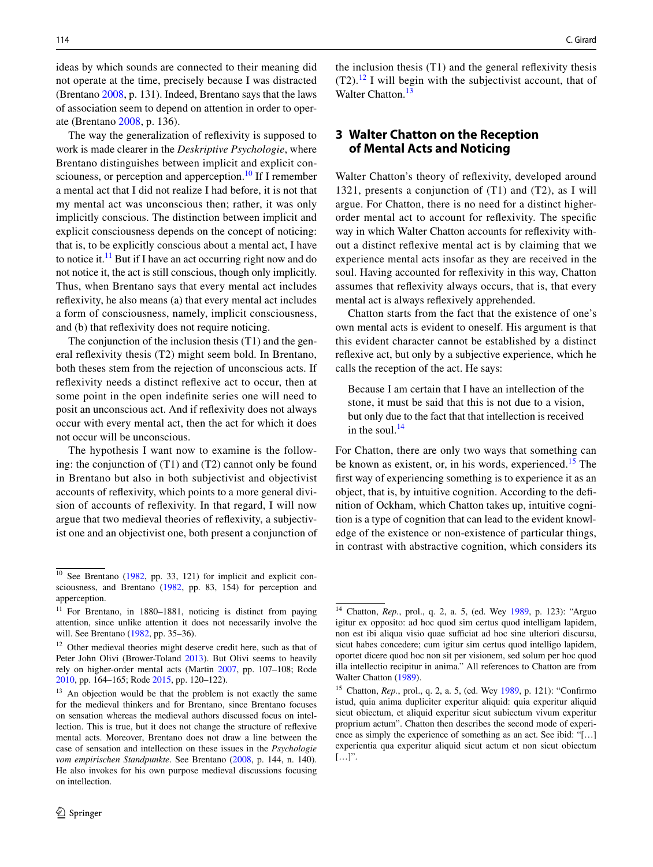ideas by which sounds are connected to their meaning did not operate at the time, precisely because I was distracted (Brentano [2008,](#page-9-4) p. 131). Indeed, Brentano says that the laws of association seem to depend on attention in order to operate (Brentano [2008](#page-9-4), p. 136).

The way the generalization of refexivity is supposed to work is made clearer in the *Deskriptive Psychologie*, where Brentano distinguishes between implicit and explicit con-sciouness, or perception and apperception.<sup>[10](#page-3-0)</sup> If I remember a mental act that I did not realize I had before, it is not that my mental act was unconscious then; rather, it was only implicitly conscious. The distinction between implicit and explicit consciousness depends on the concept of noticing: that is, to be explicitly conscious about a mental act, I have to notice it.<sup>[11](#page-3-1)</sup> But if I have an act occurring right now and do not notice it, the act is still conscious, though only implicitly. Thus, when Brentano says that every mental act includes refexivity, he also means (a) that every mental act includes a form of consciousness, namely, implicit consciousness, and (b) that refexivity does not require noticing.

The conjunction of the inclusion thesis (T1) and the general refexivity thesis (T2) might seem bold. In Brentano, both theses stem from the rejection of unconscious acts. If refexivity needs a distinct refexive act to occur, then at some point in the open indefnite series one will need to posit an unconscious act. And if refexivity does not always occur with every mental act, then the act for which it does not occur will be unconscious.

The hypothesis I want now to examine is the following: the conjunction of (T1) and (T2) cannot only be found in Brentano but also in both subjectivist and objectivist accounts of refexivity, which points to a more general division of accounts of refexivity. In that regard, I will now argue that two medieval theories of refexivity, a subjectivist one and an objectivist one, both present a conjunction of the inclusion thesis (T1) and the general refexivity thesis  $(T2)$ .<sup>12</sup> I will begin with the subjectivist account, that of Walter Chatton.<sup>[13](#page-3-3)</sup>

### **3 Walter Chatton on the Reception of Mental Acts and Noticing**

Walter Chatton's theory of refexivity, developed around 1321, presents a conjunction of (T1) and (T2), as I will argue. For Chatton, there is no need for a distinct higherorder mental act to account for refexivity. The specifc way in which Walter Chatton accounts for refexivity without a distinct refexive mental act is by claiming that we experience mental acts insofar as they are received in the soul. Having accounted for refexivity in this way, Chatton assumes that refexivity always occurs, that is, that every mental act is always refexively apprehended.

Chatton starts from the fact that the existence of one's own mental acts is evident to oneself. His argument is that this evident character cannot be established by a distinct refexive act, but only by a subjective experience, which he calls the reception of the act. He says:

Because I am certain that I have an intellection of the stone, it must be said that this is not due to a vision, but only due to the fact that that intellection is received in the soul. $^{14}$  $^{14}$  $^{14}$ 

For Chatton, there are only two ways that something can be known as existent, or, in his words, experienced.<sup>15</sup> The frst way of experiencing something is to experience it as an object, that is, by intuitive cognition. According to the defnition of Ockham, which Chatton takes up, intuitive cognition is a type of cognition that can lead to the evident knowledge of the existence or non-existence of particular things, in contrast with abstractive cognition, which considers its

<span id="page-3-0"></span><sup>10</sup> See Brentano ([1982,](#page-9-6) pp. 33, 121) for implicit and explicit consciousness, and Brentano ([1982,](#page-9-6) pp. 83, 154) for perception and apperception.

<span id="page-3-1"></span><sup>&</sup>lt;sup>11</sup> For Brentano, in 1880-1881, noticing is distinct from paying attention, since unlike attention it does not necessarily involve the will. See Brentano [\(1982](#page-9-6), pp. 35–36).

<span id="page-3-2"></span><sup>&</sup>lt;sup>12</sup> Other medieval theories might deserve credit here, such as that of Peter John Olivi (Brower-Toland [2013\)](#page-9-5). But Olivi seems to heavily rely on higher-order mental acts (Martin [2007,](#page-10-6) pp. 107–108; Rode [2010](#page-10-7), pp. 164–165; Rode [2015](#page-10-8), pp. 120–122).

<span id="page-3-3"></span><sup>&</sup>lt;sup>13</sup> An objection would be that the problem is not exactly the same for the medieval thinkers and for Brentano, since Brentano focuses on sensation whereas the medieval authors discussed focus on intellection. This is true, but it does not change the structure of refexive mental acts. Moreover, Brentano does not draw a line between the case of sensation and intellection on these issues in the *Psychologie vom empirischen Standpunkte*. See Brentano [\(2008](#page-9-4), p. 144, n. 140). He also invokes for his own purpose medieval discussions focusing on intellection.

<span id="page-3-4"></span><sup>14</sup> Chatton, *Rep.*, prol., q. 2, a. 5, (ed. Wey [1989,](#page-10-5) p. 123): "Arguo igitur ex opposito: ad hoc quod sim certus quod intelligam lapidem, non est ibi aliqua visio quae sufficiat ad hoc sine ulteriori discursu, sicut habes concedere; cum igitur sim certus quod intelligo lapidem, oportet dicere quod hoc non sit per visionem, sed solum per hoc quod illa intellectio recipitur in anima." All references to Chatton are from Walter Chatton ([1989\)](#page-10-5).

<span id="page-3-5"></span><sup>15</sup> Chatton, *Rep.*, prol., q. 2, a. 5, (ed. Wey [1989,](#page-10-5) p. 121): "Confrmo istud, quia anima dupliciter experitur aliquid: quia experitur aliquid sicut obiectum, et aliquid experitur sicut subiectum vivum experitur proprium actum". Chatton then describes the second mode of experience as simply the experience of something as an act. See ibid: "[…] experientia qua experitur aliquid sicut actum et non sicut obiectum […]".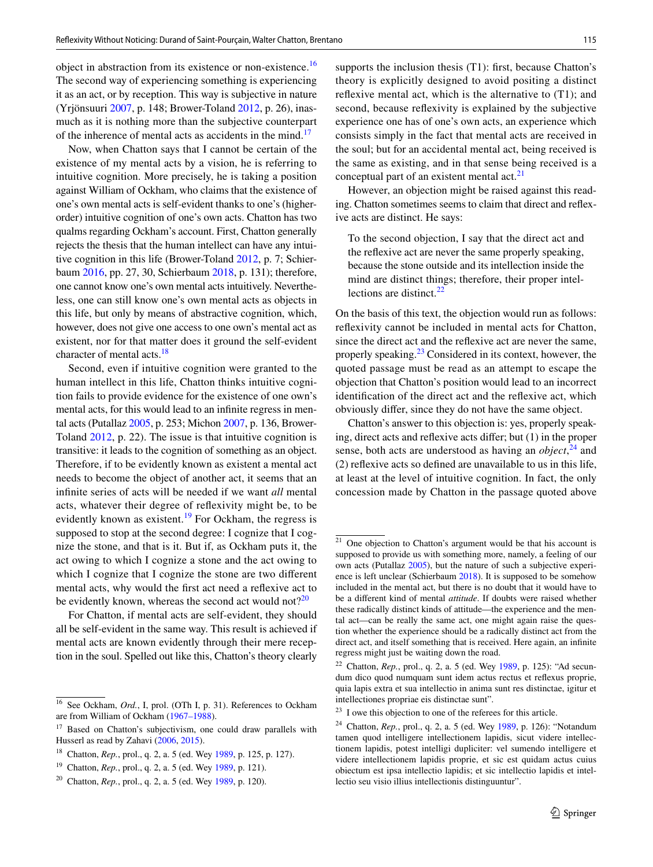object in abstraction from its existence or non-existence.<sup>[16](#page-4-0)</sup> The second way of experiencing something is experiencing it as an act, or by reception. This way is subjective in nature (Yrjönsuuri [2007](#page-10-9), p. 148; Brower-Toland [2012](#page-9-1), p. 26), inasmuch as it is nothing more than the subjective counterpart of the inherence of mental acts as accidents in the mind.<sup>[17](#page-4-1)</sup>

Now, when Chatton says that I cannot be certain of the existence of my mental acts by a vision, he is referring to intuitive cognition. More precisely, he is taking a position against William of Ockham, who claims that the existence of one's own mental acts is self-evident thanks to one's (higherorder) intuitive cognition of one's own acts. Chatton has two qualms regarding Ockham's account. First, Chatton generally rejects the thesis that the human intellect can have any intuitive cognition in this life (Brower-Toland [2012,](#page-9-1) p. 7; Schierbaum [2016](#page-10-10), pp. 27, 30, Schierbaum [2018](#page-10-11), p. 131); therefore, one cannot know one's own mental acts intuitively. Nevertheless, one can still know one's own mental acts as objects in this life, but only by means of abstractive cognition, which, however, does not give one access to one own's mental act as existent, nor for that matter does it ground the self-evident character of mental acts. $18$ 

Second, even if intuitive cognition were granted to the human intellect in this life, Chatton thinks intuitive cognition fails to provide evidence for the existence of one own's mental acts, for this would lead to an infnite regress in mental acts (Putallaz [2005](#page-10-12), p. 253; Michon [2007,](#page-10-13) p. 136, Brower-Toland [2012](#page-9-1), p. 22). The issue is that intuitive cognition is transitive: it leads to the cognition of something as an object. Therefore, if to be evidently known as existent a mental act needs to become the object of another act, it seems that an infnite series of acts will be needed if we want *all* mental acts, whatever their degree of refexivity might be, to be evidently known as existent.<sup>[19](#page-4-3)</sup> For Ockham, the regress is supposed to stop at the second degree: I cognize that I cognize the stone, and that is it. But if, as Ockham puts it, the act owing to which I cognize a stone and the act owing to which I cognize that I cognize the stone are two diferent mental acts, why would the frst act need a refexive act to be evidently known, whereas the second act would not? $20$ 

For Chatton, if mental acts are self-evident, they should all be self-evident in the same way. This result is achieved if mental acts are known evidently through their mere reception in the soul. Spelled out like this, Chatton's theory clearly supports the inclusion thesis (T1): first, because Chatton's theory is explicitly designed to avoid positing a distinct reflexive mental act, which is the alternative to  $(T1)$ ; and second, because refexivity is explained by the subjective experience one has of one's own acts, an experience which consists simply in the fact that mental acts are received in the soul; but for an accidental mental act, being received is the same as existing, and in that sense being received is a conceptual part of an existent mental  $\arctan \frac{21}{2}$  $\arctan \frac{21}{2}$  $\arctan \frac{21}{2}$ 

However, an objection might be raised against this reading. Chatton sometimes seems to claim that direct and refexive acts are distinct. He says:

To the second objection, I say that the direct act and the reflexive act are never the same properly speaking, because the stone outside and its intellection inside the mind are distinct things; therefore, their proper intellections are distinct. $^{22}$  $^{22}$  $^{22}$ 

On the basis of this text, the objection would run as follows: refexivity cannot be included in mental acts for Chatton, since the direct act and the refexive act are never the same, properly speaking. $^{23}$  $^{23}$  $^{23}$  Considered in its context, however, the quoted passage must be read as an attempt to escape the objection that Chatton's position would lead to an incorrect identifcation of the direct act and the refexive act, which obviously difer, since they do not have the same object.

Chatton's answer to this objection is: yes, properly speaking, direct acts and refexive acts difer; but (1) in the proper sense, both acts are understood as having an *object*, [24](#page-4-8) and (2) refexive acts so defned are unavailable to us in this life, at least at the level of intuitive cognition. In fact, the only concession made by Chatton in the passage quoted above

<span id="page-4-0"></span><sup>&</sup>lt;sup>16</sup> See Ockham, *Ord.*, I, prol. (OTh I, p. 31). References to Ockham are from William of Ockham ([1967–1988](#page-10-14)).

<span id="page-4-1"></span><sup>&</sup>lt;sup>17</sup> Based on Chatton's subjectivism, one could draw parallels with Husserl as read by Zahavi ([2006,](#page-10-3) [2015](#page-10-15)).

<span id="page-4-2"></span><sup>18</sup> Chatton, *Rep.*, prol., q. 2, a. 5 (ed. Wey [1989,](#page-10-5) p. 125, p. 127).

<span id="page-4-3"></span><sup>19</sup> Chatton, *Rep.*, prol., q. 2, a. 5 (ed. Wey [1989,](#page-10-5) p. 121).

<span id="page-4-4"></span><sup>20</sup> Chatton, *Rep.*, prol., q. 2, a. 5 (ed. Wey [1989,](#page-10-5) p. 120).

<span id="page-4-5"></span><sup>21</sup> One objection to Chatton's argument would be that his account is supposed to provide us with something more, namely, a feeling of our own acts (Putallaz [2005\)](#page-10-12), but the nature of such a subjective experience is left unclear (Schierbaum [2018\)](#page-10-11). It is supposed to be somehow included in the mental act, but there is no doubt that it would have to be a diferent kind of mental *attitude*. If doubts were raised whether these radically distinct kinds of attitude—the experience and the mental act—can be really the same act, one might again raise the question whether the experience should be a radically distinct act from the direct act, and itself something that is received. Here again, an infnite regress might just be waiting down the road.

<span id="page-4-6"></span><sup>22</sup> Chatton, *Rep.*, prol., q. 2, a. 5 (ed. Wey [1989](#page-10-5), p. 125): "Ad secundum dico quod numquam sunt idem actus rectus et refexus proprie, quia lapis extra et sua intellectio in anima sunt res distinctae, igitur et intellectiones propriae eis distinctae sunt".

<span id="page-4-7"></span><sup>&</sup>lt;sup>23</sup> I owe this objection to one of the referees for this article.

<span id="page-4-8"></span><sup>24</sup> Chatton, *Rep.*, prol., q. 2, a. 5 (ed. Wey [1989,](#page-10-5) p. 126): "Notandum tamen quod intelligere intellectionem lapidis, sicut videre intellectionem lapidis, potest intelligi dupliciter: vel sumendo intelligere et videre intellectionem lapidis proprie, et sic est quidam actus cuius obiectum est ipsa intellectio lapidis; et sic intellectio lapidis et intellectio seu visio illius intellectionis distinguuntur".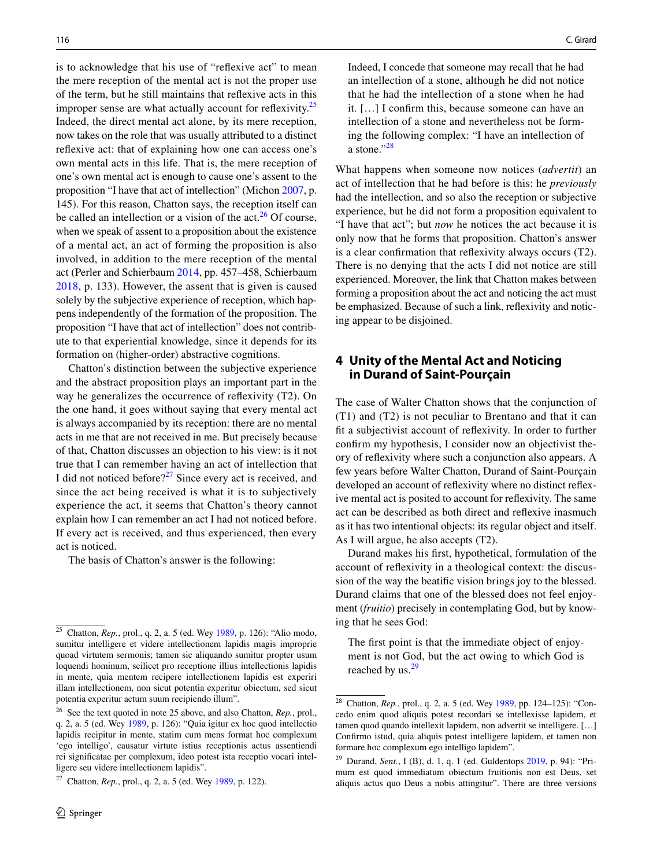is to acknowledge that his use of "reflexive act" to mean the mere reception of the mental act is not the proper use of the term, but he still maintains that refexive acts in this improper sense are what actually account for reflexivity.<sup>25</sup> Indeed, the direct mental act alone, by its mere reception, now takes on the role that was usually attributed to a distinct refexive act: that of explaining how one can access one's own mental acts in this life. That is, the mere reception of one's own mental act is enough to cause one's assent to the proposition "I have that act of intellection" (Michon [2007](#page-10-13), p. 145). For this reason, Chatton says, the reception itself can be called an intellection or a vision of the act. $^{26}$  $^{26}$  $^{26}$  Of course, when we speak of assent to a proposition about the existence of a mental act, an act of forming the proposition is also involved, in addition to the mere reception of the mental act (Perler and Schierbaum [2014,](#page-10-16) pp. 457–458, Schierbaum [2018,](#page-10-11) p. 133). However, the assent that is given is caused solely by the subjective experience of reception, which happens independently of the formation of the proposition. The proposition "I have that act of intellection" does not contribute to that experiential knowledge, since it depends for its formation on (higher-order) abstractive cognitions.

Chatton's distinction between the subjective experience and the abstract proposition plays an important part in the way he generalizes the occurrence of refexivity (T2). On the one hand, it goes without saying that every mental act is always accompanied by its reception: there are no mental acts in me that are not received in me. But precisely because of that, Chatton discusses an objection to his view: is it not true that I can remember having an act of intellection that I did not noticed before?<sup>[27](#page-5-2)</sup> Since every act is received, and since the act being received is what it is to subjectively experience the act, it seems that Chatton's theory cannot explain how I can remember an act I had not noticed before. If every act is received, and thus experienced, then every act is noticed.

The basis of Chatton's answer is the following:

Indeed, I concede that someone may recall that he had an intellection of a stone, although he did not notice that he had the intellection of a stone when he had it. […] I confrm this, because someone can have an intellection of a stone and nevertheless not be forming the following complex: "I have an intellection of a stone."[28](#page-5-3)

What happens when someone now notices (*advertit*) an act of intellection that he had before is this: he *previously* had the intellection, and so also the reception or subjective experience, but he did not form a proposition equivalent to "I have that act"; but *now* he notices the act because it is only now that he forms that proposition. Chatton's answer is a clear confrmation that refexivity always occurs (T2). There is no denying that the acts I did not notice are still experienced. Moreover, the link that Chatton makes between forming a proposition about the act and noticing the act must be emphasized. Because of such a link, refexivity and noticing appear to be disjoined.

#### **4 Unity of the Mental Act and Noticing in Durand of Saint‑Pourçain**

The case of Walter Chatton shows that the conjunction of (T1) and (T2) is not peculiar to Brentano and that it can ft a subjectivist account of refexivity. In order to further confrm my hypothesis, I consider now an objectivist theory of refexivity where such a conjunction also appears. A few years before Walter Chatton, Durand of Saint-Pourçain developed an account of refexivity where no distinct refexive mental act is posited to account for refexivity. The same act can be described as both direct and refexive inasmuch as it has two intentional objects: its regular object and itself. As I will argue, he also accepts (T2).

Durand makes his frst, hypothetical, formulation of the account of refexivity in a theological context: the discussion of the way the beatifc vision brings joy to the blessed. Durand claims that one of the blessed does not feel enjoyment (*fruitio*) precisely in contemplating God, but by knowing that he sees God:

The frst point is that the immediate object of enjoyment is not God, but the act owing to which God is reached by us. $29$ 

<span id="page-5-0"></span><sup>25</sup> Chatton, *Rep.*, prol., q. 2, a. 5 (ed. Wey [1989](#page-10-5), p. 126): "Alio modo, sumitur intelligere et videre intellectionem lapidis magis improprie quoad virtutem sermonis; tamen sic aliquando sumitur propter usum loquendi hominum, scilicet pro receptione illius intellectionis lapidis in mente, quia mentem recipere intellectionem lapidis est experiri illam intellectionem, non sicut potentia experitur obiectum, sed sicut potentia experitur actum suum recipiendo illum".

<span id="page-5-1"></span><sup>26</sup> See the text quoted in note 25 above, and also Chatton, *Rep.*, prol., q. 2, a. 5 (ed. Wey [1989,](#page-10-5) p. 126): "Quia igitur ex hoc quod intellectio lapidis recipitur in mente, statim cum mens format hoc complexum 'ego intelligo', causatur virtute istius receptionis actus assentiendi rei signifcatae per complexum, ideo potest ista receptio vocari intelligere seu videre intellectionem lapidis".

<span id="page-5-2"></span><sup>27</sup> Chatton, *Rep.*, prol., q. 2, a. 5 (ed. Wey [1989,](#page-10-5) p. 122).

<span id="page-5-3"></span><sup>28</sup> Chatton, *Rep.*, prol., q. 2, a. 5 (ed. Wey [1989](#page-10-5), pp. 124–125): "Concedo enim quod aliquis potest recordari se intellexisse lapidem, et tamen quod quando intellexit lapidem, non advertit se intelligere. […] Confrmo istud, quia aliquis potest intelligere lapidem, et tamen non formare hoc complexum ego intelligo lapidem".

<span id="page-5-4"></span><sup>29</sup> Durand, *Sent.*, I (B), d. 1, q. 1 (ed. Guldentops [2019,](#page-9-7) p. 94): "Primum est quod immediatum obiectum fruitionis non est Deus, set aliquis actus quo Deus a nobis attingitur". There are three versions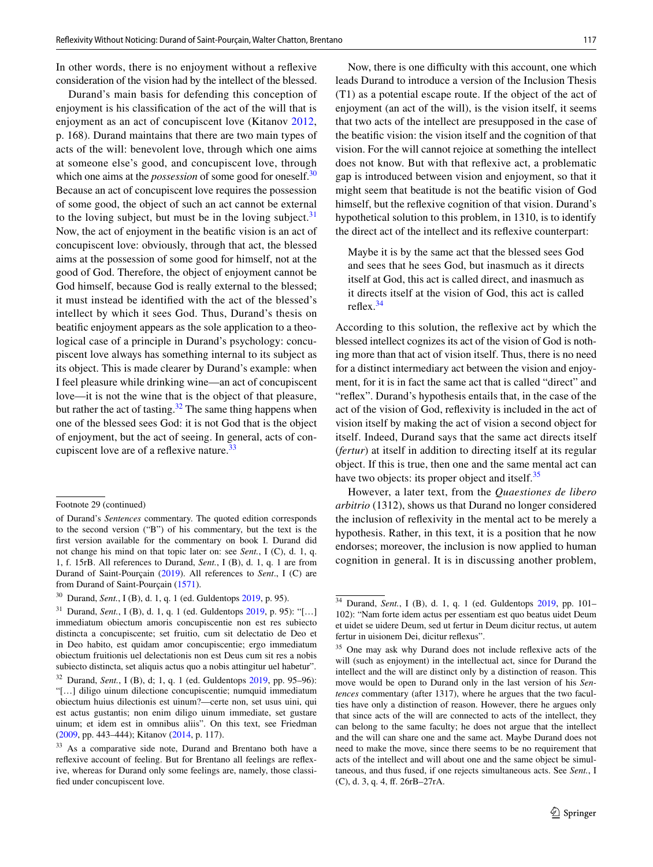In other words, there is no enjoyment without a refexive consideration of the vision had by the intellect of the blessed.

Durand's main basis for defending this conception of enjoyment is his classifcation of the act of the will that is enjoyment as an act of concupiscent love (Kitanov [2012,](#page-9-8) p. 168). Durand maintains that there are two main types of acts of the will: benevolent love, through which one aims at someone else's good, and concupiscent love, through which one aims at the *possession* of some good for oneself.<sup>30</sup> Because an act of concupiscent love requires the possession of some good, the object of such an act cannot be external to the loving subject, but must be in the loving subject. $31$ Now, the act of enjoyment in the beatifc vision is an act of concupiscent love: obviously, through that act, the blessed aims at the possession of some good for himself, not at the good of God. Therefore, the object of enjoyment cannot be God himself, because God is really external to the blessed; it must instead be identifed with the act of the blessed's intellect by which it sees God. Thus, Durand's thesis on beatifc enjoyment appears as the sole application to a theological case of a principle in Durand's psychology: concupiscent love always has something internal to its subject as its object. This is made clearer by Durand's example: when I feel pleasure while drinking wine—an act of concupiscent love—it is not the wine that is the object of that pleasure, but rather the act of tasting. $32$  The same thing happens when one of the blessed sees God: it is not God that is the object of enjoyment, but the act of seeing. In general, acts of con-cupiscent love are of a reflexive nature.<sup>[33](#page-6-3)</sup>

Now, there is one difficulty with this account, one which leads Durand to introduce a version of the Inclusion Thesis (T1) as a potential escape route. If the object of the act of enjoyment (an act of the will), is the vision itself, it seems that two acts of the intellect are presupposed in the case of the beatifc vision: the vision itself and the cognition of that vision. For the will cannot rejoice at something the intellect does not know. But with that refexive act, a problematic gap is introduced between vision and enjoyment, so that it might seem that beatitude is not the beatifc vision of God himself, but the refexive cognition of that vision. Durand's hypothetical solution to this problem, in 1310, is to identify the direct act of the intellect and its refexive counterpart:

Maybe it is by the same act that the blessed sees God and sees that he sees God, but inasmuch as it directs itself at God, this act is called direct, and inasmuch as it directs itself at the vision of God, this act is called reflex. $34$ 

According to this solution, the refexive act by which the blessed intellect cognizes its act of the vision of God is nothing more than that act of vision itself. Thus, there is no need for a distinct intermediary act between the vision and enjoyment, for it is in fact the same act that is called "direct" and "refex". Durand's hypothesis entails that, in the case of the act of the vision of God, refexivity is included in the act of vision itself by making the act of vision a second object for itself. Indeed, Durand says that the same act directs itself (*fertur*) at itself in addition to directing itself at its regular object. If this is true, then one and the same mental act can have two objects: its proper object and itself.<sup>[35](#page-6-5)</sup>

However, a later text, from the *Quaestiones de libero arbitrio* (1312), shows us that Durand no longer considered the inclusion of refexivity in the mental act to be merely a hypothesis. Rather, in this text, it is a position that he now endorses; moreover, the inclusion is now applied to human cognition in general. It is in discussing another problem,

Footnote 29 (continued)

of Durand's *Sentences* commentary. The quoted edition corresponds to the second version ("B") of his commentary, but the text is the frst version available for the commentary on book I. Durand did not change his mind on that topic later on: see *Sent.*, I (C), d. 1, q. 1, f. 15rB. All references to Durand, *Sent.*, I (B), d. 1, q. 1 are from Durand of Saint-Pourçain [\(2019](#page-9-7)). All references to *Sent*., I (C) are from Durand of Saint-Pourçain ([1571\)](#page-9-10).

<span id="page-6-0"></span><sup>30</sup> Durand, *Sent.*, I (B), d. 1, q. 1 (ed. Guldentops [2019,](#page-9-7) p. 95).

<span id="page-6-1"></span><sup>31</sup> Durand, *Sent.*, I (B), d. 1, q. 1 (ed. Guldentops [2019,](#page-9-7) p. 95): "[…] immediatum obiectum amoris concupiscentie non est res subiecto distincta a concupiscente; set fruitio, cum sit delectatio de Deo et in Deo habito, est quidam amor concupiscentie; ergo immediatum obiectum fruitionis uel delectationis non est Deus cum sit res a nobis subiecto distincta, set aliquis actus quo a nobis attingitur uel habetur". <sup>32</sup> Durand, *Sent.*, I (B), d; 1, q. 1 (ed. Guldentops [2019](#page-9-7), pp. 95–96): "[…] diligo uinum dilectione concupiscentie; numquid immediatum obiectum huius dilectionis est uinum?—certe non, set usus uini, qui

<span id="page-6-2"></span>est actus gustantis; non enim diligo uinum immediate, set gustare uinum; et idem est in omnibus aliis". On this text, see Friedman ([2009,](#page-9-2) pp. 443–444); Kitanov [\(2014](#page-9-9), p. 117). <sup>33</sup> As a comparative side note, Durand and Brentano both have a

<span id="page-6-3"></span>refexive account of feeling. But for Brentano all feelings are refexive, whereas for Durand only some feelings are, namely, those classifed under concupiscent love.

<span id="page-6-4"></span><sup>34</sup> Durand, *Sent.*, I (B), d. 1, q. 1 (ed. Guldentops [2019](#page-9-7), pp. 101– 102): "Nam forte idem actus per essentiam est quo beatus uidet Deum et uidet se uidere Deum, sed ut fertur in Deum dicitur rectus, ut autem fertur in uisionem Dei, dicitur refexus".

<span id="page-6-5"></span><sup>&</sup>lt;sup>35</sup> One may ask why Durand does not include reflexive acts of the will (such as enjoyment) in the intellectual act, since for Durand the intellect and the will are distinct only by a distinction of reason. This move would be open to Durand only in the last version of his *Sentences* commentary (after 1317), where he argues that the two faculties have only a distinction of reason. However, there he argues only that since acts of the will are connected to acts of the intellect, they can belong to the same faculty; he does not argue that the intellect and the will can share one and the same act. Maybe Durand does not need to make the move, since there seems to be no requirement that acts of the intellect and will about one and the same object be simultaneous, and thus fused, if one rejects simultaneous acts. See *Sent.*, I (C), d. 3, q. 4, f. 26rB–27rA.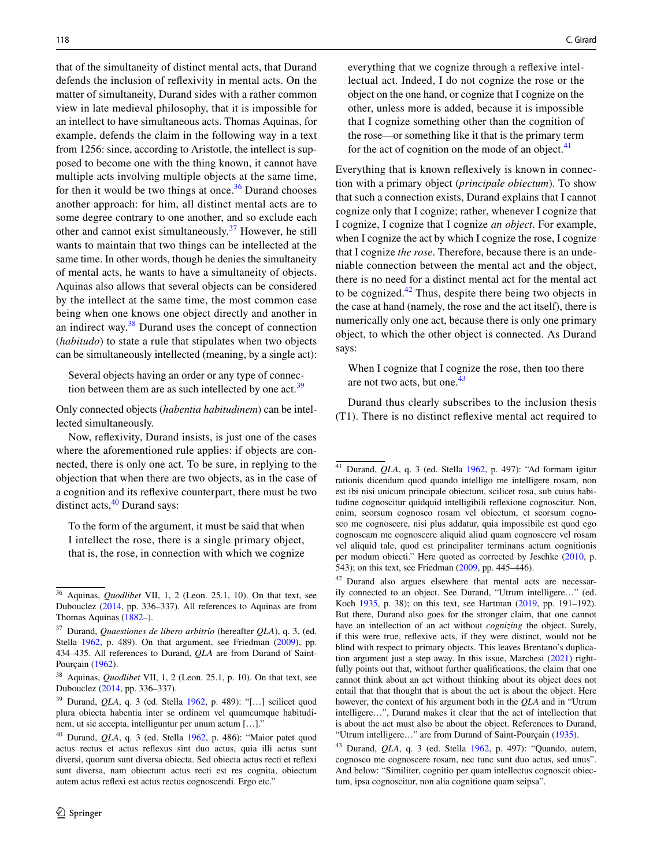that of the simultaneity of distinct mental acts, that Durand defends the inclusion of refexivity in mental acts. On the matter of simultaneity, Durand sides with a rather common view in late medieval philosophy, that it is impossible for an intellect to have simultaneous acts. Thomas Aquinas, for example, defends the claim in the following way in a text from 1256: since, according to Aristotle, the intellect is supposed to become one with the thing known, it cannot have multiple acts involving multiple objects at the same time, for then it would be two things at once. $36$  Durand chooses another approach: for him, all distinct mental acts are to some degree contrary to one another, and so exclude each other and cannot exist simultaneously.<sup>[37](#page-7-1)</sup> However, he still wants to maintain that two things can be intellected at the same time. In other words, though he denies the simultaneity of mental acts, he wants to have a simultaneity of objects. Aquinas also allows that several objects can be considered by the intellect at the same time, the most common case being when one knows one object directly and another in an indirect way. $38$  Durand uses the concept of connection (*habitudo*) to state a rule that stipulates when two objects can be simultaneously intellected (meaning, by a single act):

Several objects having an order or any type of connec-tion between them are as such intellected by one act.<sup>[39](#page-7-3)</sup>

Only connected objects (*habentia habitudinem*) can be intellected simultaneously.

Now, refexivity, Durand insists, is just one of the cases where the aforementioned rule applies: if objects are connected, there is only one act. To be sure, in replying to the objection that when there are two objects, as in the case of a cognition and its refexive counterpart, there must be two distinct acts, $40$  Durand says:

To the form of the argument, it must be said that when I intellect the rose, there is a single primary object, that is, the rose, in connection with which we cognize everything that we cognize through a refexive intellectual act. Indeed, I do not cognize the rose or the object on the one hand, or cognize that I cognize on the other, unless more is added, because it is impossible that I cognize something other than the cognition of the rose—or something like it that is the primary term for the act of cognition on the mode of an object. $41$ 

Everything that is known refexively is known in connection with a primary object (*principale obiectum*). To show that such a connection exists, Durand explains that I cannot cognize only that I cognize; rather, whenever I cognize that I cognize, I cognize that I cognize *an object*. For example, when I cognize the act by which I cognize the rose, I cognize that I cognize *the rose*. Therefore, because there is an undeniable connection between the mental act and the object, there is no need for a distinct mental act for the mental act to be cognized. $42$  Thus, despite there being two objects in the case at hand (namely, the rose and the act itself), there is numerically only one act, because there is only one primary object, to which the other object is connected. As Durand says:

When I cognize that I cognize the rose, then too there are not two acts, but one.<sup>[43](#page-7-7)</sup>

Durand thus clearly subscribes to the inclusion thesis (T1). There is no distinct refexive mental act required to

<span id="page-7-0"></span><sup>36</sup> Aquinas, *Quodlibet* VII, 1, 2 (Leon. 25.1, 10). On that text, see Dubouclez ([2014,](#page-9-11) pp. 336–337). All references to Aquinas are from Thomas Aquinas ([1882–](#page-10-17)).

<span id="page-7-1"></span><sup>37</sup> Durand, *Quaestiones de libero arbitrio* (hereafter *QLA*), q. 3, (ed. Stella [1962](#page-9-12), p. 489). On that argument, see Friedman ([2009\)](#page-9-2), pp. 434–435. All references to Durand, *QLA* are from Durand of Saint-Pourçain [\(1962](#page-9-12)).

<span id="page-7-2"></span><sup>38</sup> Aquinas, *Quodlibet* VII, 1, 2 (Leon. 25.1, p. 10). On that text, see Dubouclez ([2014,](#page-9-11) pp. 336–337).

<span id="page-7-3"></span><sup>39</sup> Durand, *QLA*, q. 3 (ed. Stella [1962](#page-9-12), p. 489): "[…] scilicet quod plura obiecta habentia inter se ordinem vel quamcumque habitudinem, ut sic accepta, intelliguntur per unum actum […]."

<span id="page-7-4"></span><sup>40</sup> Durand, *QLA*, q. 3 (ed. Stella [1962,](#page-9-12) p. 486): "Maior patet quod actus rectus et actus refexus sint duo actus, quia illi actus sunt diversi, quorum sunt diversa obiecta. Sed obiecta actus recti et refexi sunt diversa, nam obiectum actus recti est res cognita, obiectum autem actus refexi est actus rectus cognoscendi. Ergo etc."

<span id="page-7-5"></span><sup>41</sup> Durand, *QLA*, q. 3 (ed. Stella [1962,](#page-9-12) p. 497): "Ad formam igitur rationis dicendum quod quando intelligo me intelligere rosam, non est ibi nisi unicum principale obiectum, scilicet rosa, sub cuius habitudine cognoscitur quidquid intelligibili refexione cognoscitur. Non, enim, seorsum cognosco rosam vel obiectum, et seorsum cognosco me cognoscere, nisi plus addatur, quia impossibile est quod ego cognoscam me cognoscere aliquid aliud quam cognoscere vel rosam vel aliquid tale, quod est principaliter terminans actum cognitionis per modum obiecti." Here quoted as corrected by Jeschke ([2010,](#page-9-13) p. 543); on this text, see Friedman ([2009,](#page-9-2) pp. 445–446).

<span id="page-7-6"></span><sup>42</sup> Durand also argues elsewhere that mental acts are necessarily connected to an object. See Durand, "Utrum intelligere…" (ed. Koch [1935,](#page-9-14) p. 38); on this text, see Hartman [\(2019](#page-9-15), pp. 191–192). But there, Durand also goes for the stronger claim, that one cannot have an intellection of an act without *cognizing* the object. Surely, if this were true, refexive acts, if they were distinct, would not be blind with respect to primary objects. This leaves Brentano's duplication argument just a step away. In this issue, Marchesi [\(2021](#page-10-2)) rightfully points out that, without further qualifcations, the claim that one cannot think about an act without thinking about its object does not entail that that thought that is about the act is about the object. Here however, the context of his argument both in the *QLA* and in "Utrum intelligere…", Durand makes it clear that the act of intellection that is about the act must also be about the object. References to Durand, "Utrum intelligere…" are from Durand of Saint-Pourçain [\(1935](#page-9-10)).

<span id="page-7-7"></span><sup>43</sup> Durand, *QLA*, q. 3 (ed. Stella [1962](#page-9-12), p. 497): "Quando, autem, cognosco me cognoscere rosam, nec tunc sunt duo actus, sed unus". And below: "Similiter, cognitio per quam intellectus cognoscit obiectum, ipsa cognoscitur, non alia cognitione quam seipsa".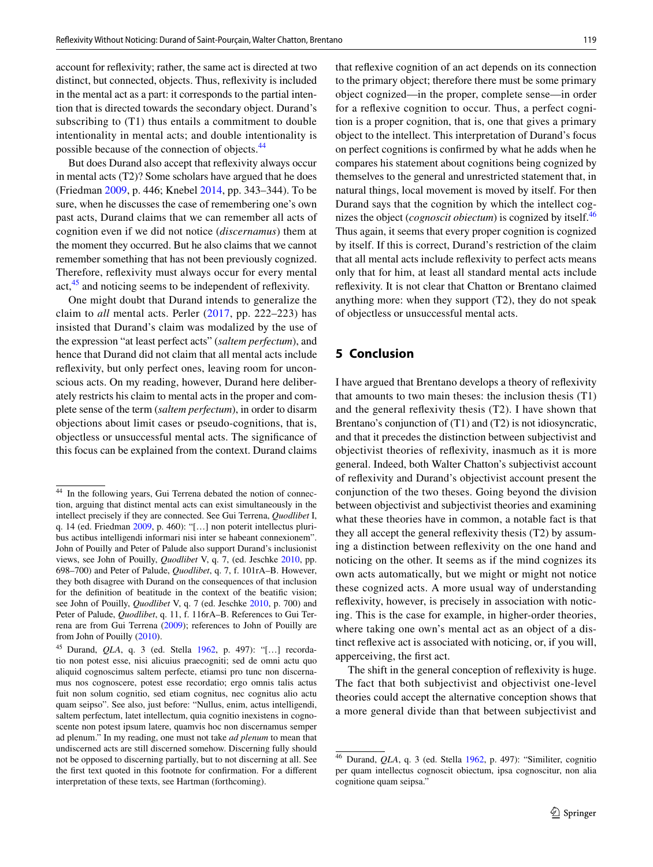account for refexivity; rather, the same act is directed at two distinct, but connected, objects. Thus, refexivity is included in the mental act as a part: it corresponds to the partial intention that is directed towards the secondary object. Durand's subscribing to (T1) thus entails a commitment to double intentionality in mental acts; and double intentionality is possible because of the connection of objects.[44](#page-8-0)

But does Durand also accept that refexivity always occur in mental acts (T2)? Some scholars have argued that he does (Friedman [2009,](#page-9-2) p. 446; Knebel [2014,](#page-9-3) pp. 343–344). To be sure, when he discusses the case of remembering one's own past acts, Durand claims that we can remember all acts of cognition even if we did not notice (*discernamus*) them at the moment they occurred. But he also claims that we cannot remember something that has not been previously cognized. Therefore, reflexivity must always occur for every mental act,[45](#page-8-1) and noticing seems to be independent of refexivity.

One might doubt that Durand intends to generalize the claim to *all* mental acts. Perler ([2017,](#page-10-4) pp. 222–223) has insisted that Durand's claim was modalized by the use of the expression "at least perfect acts" (*saltem perfectum*), and hence that Durand did not claim that all mental acts include reflexivity, but only perfect ones, leaving room for unconscious acts. On my reading, however, Durand here deliberately restricts his claim to mental acts in the proper and complete sense of the term (*saltem perfectum*), in order to disarm objections about limit cases or pseudo-cognitions, that is, objectless or unsuccessful mental acts. The signifcance of this focus can be explained from the context. Durand claims that refexive cognition of an act depends on its connection to the primary object; therefore there must be some primary object cognized—in the proper, complete sense—in order for a refexive cognition to occur. Thus, a perfect cognition is a proper cognition, that is, one that gives a primary object to the intellect. This interpretation of Durand's focus on perfect cognitions is confrmed by what he adds when he compares his statement about cognitions being cognized by themselves to the general and unrestricted statement that, in natural things, local movement is moved by itself. For then Durand says that the cognition by which the intellect cognizes the object (*cognoscit obiectum*) is cognized by itself[.46](#page-8-2) Thus again, it seems that every proper cognition is cognized by itself. If this is correct, Durand's restriction of the claim that all mental acts include refexivity to perfect acts means only that for him, at least all standard mental acts include refexivity. It is not clear that Chatton or Brentano claimed anything more: when they support (T2), they do not speak of objectless or unsuccessful mental acts.

## **5 Conclusion**

I have argued that Brentano develops a theory of refexivity that amounts to two main theses: the inclusion thesis (T1) and the general refexivity thesis (T2). I have shown that Brentano's conjunction of (T1) and (T2) is not idiosyncratic, and that it precedes the distinction between subjectivist and objectivist theories of refexivity, inasmuch as it is more general. Indeed, both Walter Chatton's subjectivist account of refexivity and Durand's objectivist account present the conjunction of the two theses. Going beyond the division between objectivist and subjectivist theories and examining what these theories have in common, a notable fact is that they all accept the general refexivity thesis (T2) by assuming a distinction between refexivity on the one hand and noticing on the other. It seems as if the mind cognizes its own acts automatically, but we might or might not notice these cognized acts. A more usual way of understanding refexivity, however, is precisely in association with noticing. This is the case for example, in higher-order theories, where taking one own's mental act as an object of a distinct refexive act is associated with noticing, or, if you will, apperceiving, the frst act.

The shift in the general conception of refexivity is huge. The fact that both subjectivist and objectivist one-level theories could accept the alternative conception shows that a more general divide than that between subjectivist and

<span id="page-8-0"></span><sup>44</sup> In the following years, Gui Terrena debated the notion of connection, arguing that distinct mental acts can exist simultaneously in the intellect precisely if they are connected. See Gui Terrena, *Quodlibet* I, q. 14 (ed. Friedman [2009](#page-9-2), p. 460): "[…] non poterit intellectus pluribus actibus intelligendi informari nisi inter se habeant connexionem". John of Pouilly and Peter of Palude also support Durand's inclusionist views, see John of Pouilly, *Quodlibet* V, q. 7, (ed. Jeschke [2010,](#page-9-13) pp. 698–700) and Peter of Palude, *Quodlibet*, q. 7, f. 101rA–B. However, they both disagree with Durand on the consequences of that inclusion for the defnition of beatitude in the context of the beatifc vision; see John of Pouilly, *Quodlibet* V, q. 7 (ed. Jeschke [2010,](#page-9-13) p. 700) and Peter of Palude, *Quodlibet*, q. 11, f. 116rA–B. References to Gui Terrena are from Gui Terrena ([2009\)](#page-10-18); references to John of Pouilly are from John of Pouilly [\(2010](#page-9-16)).

<span id="page-8-1"></span><sup>45</sup> Durand, *QLA*, q. 3 (ed. Stella [1962,](#page-9-12) p. 497): "[…] recordatio non potest esse, nisi alicuius praecogniti; sed de omni actu quo aliquid cognoscimus saltem perfecte, etiamsi pro tunc non discernamus nos cognoscere, potest esse recordatio; ergo omnis talis actus fuit non solum cognitio, sed etiam cognitus, nec cognitus alio actu quam seipso". See also, just before: "Nullus, enim, actus intelligendi, saltem perfectum, latet intellectum, quia cognitio inexistens in cognoscente non potest ipsum latere, quamvis hoc non discernamus semper ad plenum." In my reading, one must not take *ad plenum* to mean that undiscerned acts are still discerned somehow. Discerning fully should not be opposed to discerning partially, but to not discerning at all. See the frst text quoted in this footnote for confrmation. For a diferent interpretation of these texts, see Hartman (forthcoming).

<span id="page-8-2"></span><sup>46</sup> Durand, *QLA*, q. 3 (ed. Stella [1962,](#page-9-12) p. 497): "Similiter, cognitio per quam intellectus cognoscit obiectum, ipsa cognoscitur, non alia cognitione quam seipsa."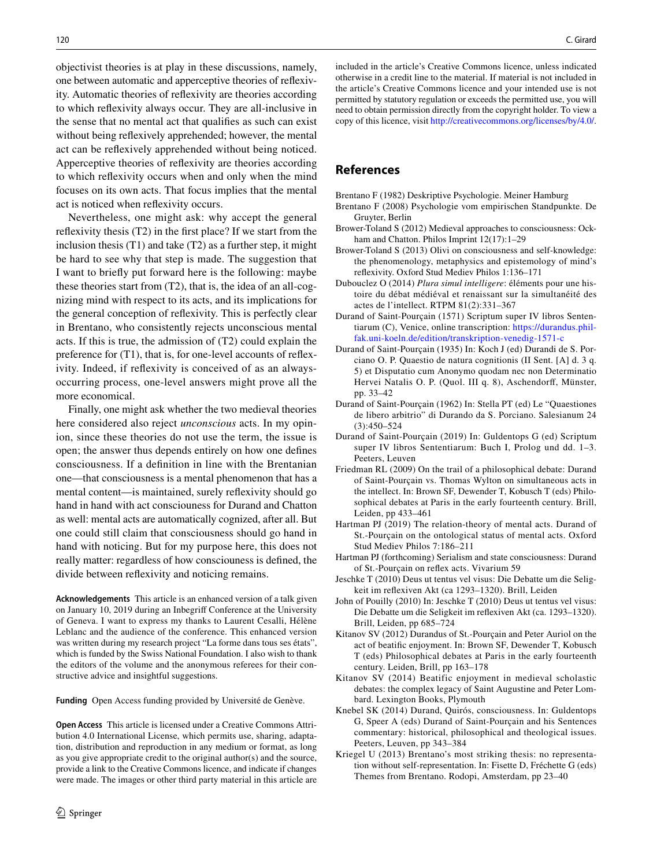objectivist theories is at play in these discussions, namely, one between automatic and apperceptive theories of refexivity. Automatic theories of refexivity are theories according to which refexivity always occur. They are all-inclusive in the sense that no mental act that qualifes as such can exist without being reflexively apprehended; however, the mental act can be refexively apprehended without being noticed. Apperceptive theories of refexivity are theories according to which refexivity occurs when and only when the mind focuses on its own acts. That focus implies that the mental act is noticed when refexivity occurs.

Nevertheless, one might ask: why accept the general refexivity thesis (T2) in the frst place? If we start from the inclusion thesis (T1) and take (T2) as a further step, it might be hard to see why that step is made. The suggestion that I want to briefy put forward here is the following: maybe these theories start from (T2), that is, the idea of an all-cognizing mind with respect to its acts, and its implications for the general conception of refexivity. This is perfectly clear in Brentano, who consistently rejects unconscious mental acts. If this is true, the admission of (T2) could explain the preference for (T1), that is, for one-level accounts of refexivity. Indeed, if refexivity is conceived of as an alwaysoccurring process, one-level answers might prove all the more economical.

Finally, one might ask whether the two medieval theories here considered also reject *unconscious* acts. In my opinion, since these theories do not use the term, the issue is open; the answer thus depends entirely on how one defnes consciousness. If a defnition in line with the Brentanian one—that consciousness is a mental phenomenon that has a mental content—is maintained, surely refexivity should go hand in hand with act consciouness for Durand and Chatton as well: mental acts are automatically cognized, after all. But one could still claim that consciousness should go hand in hand with noticing. But for my purpose here, this does not really matter: regardless of how consciouness is defned, the divide between refexivity and noticing remains.

**Acknowledgements** This article is an enhanced version of a talk given on January 10, 2019 during an Inbegrif Conference at the University of Geneva. I want to express my thanks to Laurent Cesalli, Hélène Leblanc and the audience of the conference. This enhanced version was written during my research project "La forme dans tous ses états", which is funded by the Swiss National Foundation. I also wish to thank the editors of the volume and the anonymous referees for their constructive advice and insightful suggestions.

**Funding** Open Access funding provided by Université de Genève.

**Open Access** This article is licensed under a Creative Commons Attribution 4.0 International License, which permits use, sharing, adaptation, distribution and reproduction in any medium or format, as long as you give appropriate credit to the original author(s) and the source, provide a link to the Creative Commons licence, and indicate if changes were made. The images or other third party material in this article are

included in the article's Creative Commons licence, unless indicated otherwise in a credit line to the material. If material is not included in the article's Creative Commons licence and your intended use is not permitted by statutory regulation or exceeds the permitted use, you will need to obtain permission directly from the copyright holder. To view a copy of this licence, visit<http://creativecommons.org/licenses/by/4.0/>.

#### **References**

- <span id="page-9-6"></span>Brentano F (1982) Deskriptive Psychologie. Meiner Hamburg
- <span id="page-9-4"></span>Brentano F (2008) Psychologie vom empirischen Standpunkte. De Gruyter, Berlin
- <span id="page-9-1"></span>Brower-Toland S (2012) Medieval approaches to consciousness: Ockham and Chatton. Philos Imprint 12(17):1-29
- <span id="page-9-5"></span>Brower-Toland S (2013) Olivi on consciousness and self-knowledge: the phenomenology, metaphysics and epistemology of mind's refexivity. Oxford Stud Mediev Philos 1:136–171
- <span id="page-9-11"></span>Dubouclez O (2014) *Plura simul intelligere*: éléments pour une histoire du débat médiéval et renaissant sur la simultanéité des actes de l'intellect. RTPM 81(2):331–367
- <span id="page-9-10"></span>Durand of Saint-Pourçain (1571) Scriptum super IV libros Sententiarum (C), Venice, online transcription: [https://durandus.phil](https://durandus.phil-fak.uni-koeln.de/edition/transkription-venedig-1571-c)[fak.uni-koeln.de/edition/transkription-venedig-1571-c](https://durandus.phil-fak.uni-koeln.de/edition/transkription-venedig-1571-c)
- <span id="page-9-14"></span>Durand of Saint-Pourçain (1935) In: Koch J (ed) Durandi de S. Porciano O. P. Quaestio de natura cognitionis (II Sent. [A] d. 3 q. 5) et Disputatio cum Anonymo quodam nec non Determinatio Hervei Natalis O. P. (Quol. III q. 8), Aschendorff, Münster, pp. 33–42
- <span id="page-9-12"></span>Durand of Saint-Pourçain (1962) In: Stella PT (ed) Le "Quaestiones de libero arbitrio" di Durando da S. Porciano. Salesianum 24 (3):450–524
- <span id="page-9-7"></span>Durand of Saint-Pourçain (2019) In: Guldentops G (ed) Scriptum super IV libros Sententiarum: Buch I, Prolog und dd. 1–3. Peeters, Leuven
- <span id="page-9-2"></span>Friedman RL (2009) On the trail of a philosophical debate: Durand of Saint-Pourçain vs. Thomas Wylton on simultaneous acts in the intellect. In: Brown SF, Dewender T, Kobusch T (eds) Philosophical debates at Paris in the early fourteenth century. Brill, Leiden, pp 433–461
- <span id="page-9-15"></span>Hartman PJ (2019) The relation-theory of mental acts. Durand of St.-Pourçain on the ontological status of mental acts. Oxford Stud Mediev Philos 7:186–211
- Hartman PJ (forthcoming) Serialism and state consciousness: Durand of St.-Pourçain on refex acts. Vivarium 59
- <span id="page-9-13"></span>Jeschke T (2010) Deus ut tentus vel visus: Die Debatte um die Seligkeit im refexiven Akt (ca 1293–1320). Brill, Leiden
- <span id="page-9-16"></span>John of Pouilly (2010) In: Jeschke T (2010) Deus ut tentus vel visus: Die Debatte um die Seligkeit im refexiven Akt (ca. 1293–1320). Brill, Leiden, pp 685–724
- <span id="page-9-8"></span>Kitanov SV (2012) Durandus of St.-Pourçain and Peter Auriol on the act of beatifc enjoyment. In: Brown SF, Dewender T, Kobusch T (eds) Philosophical debates at Paris in the early fourteenth century. Leiden, Brill, pp 163–178
- <span id="page-9-9"></span>Kitanov SV (2014) Beatific enjoyment in medieval scholastic debates: the complex legacy of Saint Augustine and Peter Lombard. Lexington Books, Plymouth
- <span id="page-9-3"></span>Knebel SK (2014) Durand, Quirós, consciousness. In: Guldentops G, Speer A (eds) Durand of Saint-Pourçain and his Sentences commentary: historical, philosophical and theological issues. Peeters, Leuven, pp 343–384
- <span id="page-9-0"></span>Kriegel U (2013) Brentano's most striking thesis: no representation without self-representation. In: Fisette D, Fréchette G (eds) Themes from Brentano. Rodopi, Amsterdam, pp 23–40